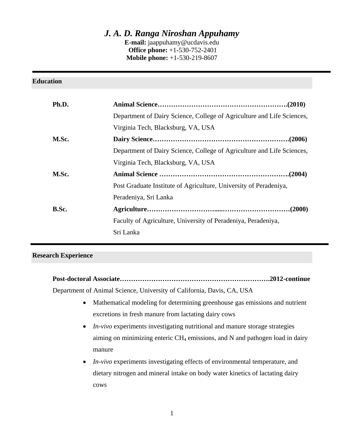# *J. A. D. Ranga Niroshan Appuhamy*

**E-mail:** jaappuhamy@ucdavis.edu  **Office phone:** +1-530-752-2401 **Mobile phone:** +1-530-219-8607

| <b>Education</b> |                                                                        |
|------------------|------------------------------------------------------------------------|
| Ph.D.            |                                                                        |
|                  | Department of Dairy Science, College of Agriculture and Life Sciences, |
|                  | Virginia Tech, Blacksburg, VA, USA                                     |
| M.Sc.            |                                                                        |
|                  | Department of Dairy Science, College of Agriculture and Life Sciences, |
|                  | Virginia Tech, Blacksburg, VA, USA                                     |
| M.Sc.            |                                                                        |
|                  | Post Graduate Institute of Agriculture, University of Peradeniya,      |
|                  | Peradeniya, Sri Lanka                                                  |
| B.Sc.            |                                                                        |
|                  | Faculty of Agriculture, University of Peradeniya, Peradeniya,          |
|                  | Sri Lanka                                                              |
|                  |                                                                        |

#### **Research Experience**

**Post-doctoral Associate………………………………………………………….2012-continue** 

Department of Animal Science, University of California, Davis, CA, USA

- Mathematical modeling for determining greenhouse gas emissions and nutrient excretions in fresh manure from lactating dairy cows
- *In-vivo* experiments investigating nutritional and manure storage strategies aiming on minimizing enteric  $CH_4$  emissions, and N and pathogen load in dairy manure
- *In-vivo* experiments investigating effects of environmental temperature, and dietary nitrogen and mineral intake on body water kinetics of lactating dairy cows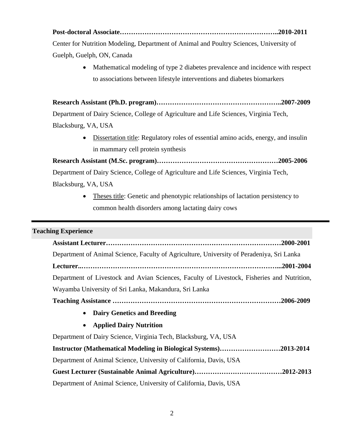**Post-doctoral Associate……………………………………………………………..2010-2011**  Center for Nutrition Modeling, Department of Animal and Poultry Sciences, University of Guelph, Guelph, ON, Canada

> • Mathematical modeling of type 2 diabetes prevalence and incidence with respect to associations between lifestyle interventions and diabetes biomarkers

**Research Assistant (Ph.D. program)………………………………………………..2007-2009**  Department of Dairy Science, College of Agriculture and Life Sciences, Virginia Tech, Blacksburg, VA, USA

> Dissertation title: Regulatory roles of essential amino acids, energy, and insulin in mammary cell protein synthesis

**Research Assistant (M.Sc. program)………………………………………………2005-2006**  Department of Dairy Science, College of Agriculture and Life Sciences, Virginia Tech, Blacksburg, VA, USA

> • Theses title: Genetic and phenotypic relationships of lactation persistency to common health disorders among lactating dairy cows

# **Teaching Experience**

| Department of Animal Science, Faculty of Agriculture, University of Peradeniya, Sri Lanka  |  |  |
|--------------------------------------------------------------------------------------------|--|--|
|                                                                                            |  |  |
| Department of Livestock and Avian Sciences, Faculty of Livestock, Fisheries and Nutrition, |  |  |
| Wayamba University of Sri Lanka, Makandura, Sri Lanka                                      |  |  |
|                                                                                            |  |  |
| <b>Dairy Genetics and Breeding</b><br>$\bullet$                                            |  |  |
| <b>Applied Dairy Nutrition</b><br>$\bullet$                                                |  |  |
| Department of Dairy Science, Virginia Tech, Blacksburg, VA, USA                            |  |  |
| Instructor (Mathematical Modeling in Biological Systems)2013-2014                          |  |  |
| Department of Animal Science, University of California, Davis, USA                         |  |  |
|                                                                                            |  |  |
| Department of Animal Science, University of California, Davis, USA                         |  |  |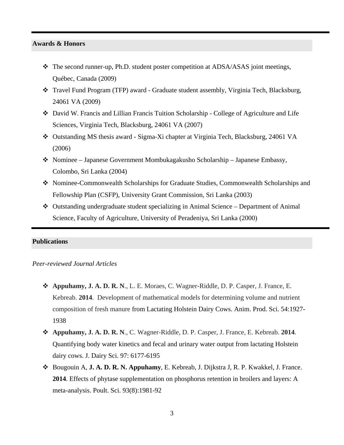#### **Awards & Honors**

- $\div$  The second runner-up, Ph.D. student poster competition at ADSA/ASAS joint meetings, Québec, Canada (2009)
- Travel Fund Program (TFP) award Graduate student assembly, Virginia Tech, Blacksburg, 24061 VA (2009)
- David W. Francis and Lillian Francis Tuition Scholarship College of Agriculture and Life Sciences, Virginia Tech, Blacksburg, 24061 VA (2007)
- Outstanding MS thesis award Sigma-Xi chapter at Virginia Tech, Blacksburg, 24061 VA (2006)
- Nominee Japanese Government Mombukagakusho Scholarship Japanese Embassy, Colombo, Sri Lanka (2004)
- Nominee-Commonwealth Scholarships for Graduate Studies, Commonwealth Scholarships and Fellowship Plan (CSFP), University Grant Commission, Sri Lanka (2003)
- Outstanding undergraduate student specializing in Animal Science Department of Animal Science, Faculty of Agriculture, University of Peradeniya, Sri Lanka (2000)

## **Publications**

## *Peer-reviewed Journal Articles*

- **Appuhamy, J. A. D. R. N**., L. E. Moraes, C. Wagner-Riddle, D. P. Casper, J. France, E. Kebreab. **2014**. Development of mathematical models for determining volume and nutrient composition of fresh manure from Lactating Holstein Dairy Cows. Anim. Prod. Sci. 54:1927- 1938
- **Appuhamy, J. A. D. R. N**., C. Wagner-Riddle, D. P. Casper, J. France, E. Kebreab. **2014**. Quantifying body water kinetics and fecal and urinary water output from lactating Holstein dairy cows. J. Dairy Sci. 97: 6177-6195
- Bougouin A, **J. A. D. R. N. Appuhamy**, E. Kebreab, J. Dijkstra J, R. P. Kwakkel, J. France. **2014**. Effects of phytase supplementation on phosphorus retention in broilers and layers: A meta-analysis. Poult. Sci. 93(8):1981-92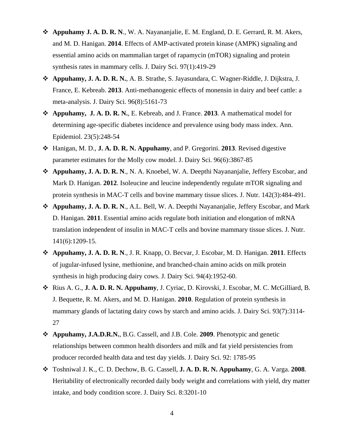- **Appuhamy J. A. D. R. N**., W. A. Nayananjalie, E. M. England, D. E. Gerrard, R. M. Akers, and M. D. Hanigan. **2014**. Effects of AMP-activated protein kinase (AMPK) signaling and essential amino acids on mammalian target of rapamycin (mTOR) signaling and protein synthesis rates in mammary cells. J. Dairy Sci. 97(1):419-29
- **Appuhamy, J. A. D. R. N.**, A. B. Strathe, S. Jayasundara, C. Wagner-Riddle, J. Dijkstra, J. France, E. Kebreab. **2013**. Anti-methanogenic effects of monensin in dairy and beef cattle: a meta-analysis. J. Dairy Sci. 96(8):5161-73
- **Appuhamy, J. A. D. R. N.**, E. Kebreab, and J. France. **2013**. A mathematical model for determining age-specific diabetes incidence and prevalence using body mass index. Ann. Epidemiol. 23(5):248-54
- Hanigan, M. D., **J. A. D. R. N. Appuhamy**, and P. Gregorini. **2013**. Revised digestive parameter estimates for the Molly cow model. J. Dairy Sci. 96(6):3867-85
- **Appuhamy, J. A. D. R. N**., N. A. Knoebel, W. A. Deepthi Nayananjalie, Jeffery Escobar, and Mark D. Hanigan. **2012**. Isoleucine and leucine independently regulate mTOR signaling and protein synthesis in MAC-T cells and bovine mammary tissue slices. J. Nutr. 142(3):484-491.
- **Appuhamy, J. A. D. R. N**., A.L. Bell, W. A. Deepthi Nayananjalie, Jeffery Escobar, and Mark D. Hanigan. **2011**. Essential amino acids regulate both initiation and elongation of mRNA translation independent of insulin in MAC-T cells and bovine mammary tissue slices. J. Nutr. 141(6):1209-15.
- **Appuhamy, J. A. D. R. N**., J. R. Knapp, O. Becvar, J. Escobar, M. D. Hanigan. **2011**. Effects of jugular-infused lysine, methionine, and branched-chain amino acids on milk protein synthesis in high producing dairy cows. J. Dairy Sci. 94(4):1952-60.
- Rius A. G., **J. A. D. R. N. Appuhamy**, J. Cyriac, D. Kirovski, J. Escobar, M. C. McGilliard, B. J. Bequette, R. M. Akers, and M. D. Hanigan. **2010**. Regulation of protein synthesis in mammary glands of lactating dairy cows by starch and amino acids. J. Dairy Sci. 93(7):3114- 27
- **Appuhamy, J.A.D.R.N.**, B.G. Cassell, and J.B. Cole. **2009**. Phenotypic and genetic relationships between common health disorders and milk and fat yield persistencies from producer recorded health data and test day yields. J. Dairy Sci. 92: 1785-95
- Toshniwal J. K., C. D. Dechow, B. G. Cassell, **J. A. D. R. N. Appuhamy**, G. A. Varga. **2008**. Heritability of electronically recorded daily body weight and correlations with yield, dry matter intake, and body condition score. J. Dairy Sci. 8:3201-10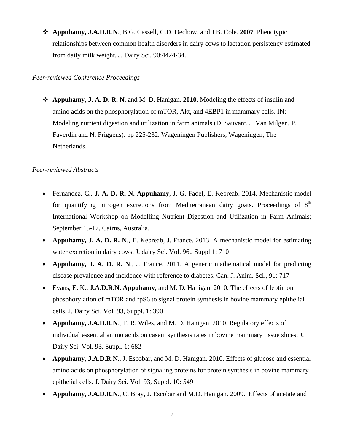**Appuhamy, J.A.D.R.N**., B.G. Cassell, C.D. Dechow, and J.B. Cole. **2007**. Phenotypic relationships between common health disorders in dairy cows to lactation persistency estimated from daily milk weight. J. Dairy Sci. 90:4424-34.

## *Peer-reviewed Conference Proceedings*

 **Appuhamy, J. A. D. R. N.** and M. D. Hanigan. **2010**. Modeling the effects of insulin and amino acids on the phosphorylation of mTOR, Akt, and 4EBP1 in mammary cells. IN: Modeling nutrient digestion and utilization in farm animals (D. Sauvant, J. Van Milgen, P. Faverdin and N. Friggens). pp 225-232. Wageningen Publishers, Wageningen, The Netherlands.

# *Peer-reviewed Abstracts*

- Fernandez, C., **J. A. D. R. N. Appuhamy**, J. G. Fadel, E. Kebreab. 2014. Mechanistic model for quantifying nitrogen excretions from Mediterranean dairy goats. Proceedings of  $8<sup>th</sup>$ International Workshop on Modelling Nutrient Digestion and Utilization in Farm Animals; September 15-17, Cairns, Australia.
- **Appuhamy, J. A. D. R. N**., E. Kebreab, J. France. 2013. A mechanistic model for estimating water excretion in dairy cows. J. dairy Sci. Vol. 96., Suppl.1: 710
- **Appuhamy, J. A. D. R. N**., J. France. 2011. A generic mathematical model for predicting disease prevalence and incidence with reference to diabetes. Can. J. Anim. Sci., 91: 717
- Evans, E. K., **J.A.D.R.N. Appuhamy**, and M. D. Hanigan. 2010. The effects of leptin on phosphorylation of mTOR and rpS6 to signal protein synthesis in bovine mammary epithelial cells. J. Dairy Sci. Vol. 93, Suppl. 1: 390
- **Appuhamy, J.A.D.R.N**., T. R. Wiles, and M. D. Hanigan. 2010. Regulatory effects of individual essential amino acids on casein synthesis rates in bovine mammary tissue slices. J. Dairy Sci. Vol. 93, Suppl. 1: 682
- **Appuhamy, J.A.D.R.N**., J. Escobar, and M. D. Hanigan. 2010. Effects of glucose and essential amino acids on phosphorylation of signaling proteins for protein synthesis in bovine mammary epithelial cells. J. Dairy Sci. Vol. 93, Suppl. 10: 549
- **Appuhamy, J.A.D.R.N**., C. Bray, J. Escobar and M.D. Hanigan. 2009. Effects of acetate and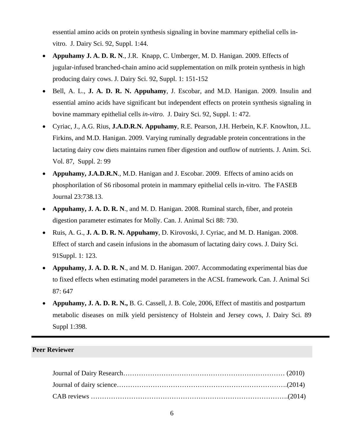essential amino acids on protein synthesis signaling in bovine mammary epithelial cells invitro. J. Dairy Sci. 92, Suppl. 1:44.

- **Appuhamy J. A. D. R. N**., J.R. Knapp, C. Umberger, M. D. Hanigan. 2009. Effects of jugular-infused branched-chain amino acid supplementation on milk protein synthesis in high producing dairy cows. J. Dairy Sci. 92, Suppl. 1: 151-152
- Bell, A. L., **J. A. D. R. N. Appuhamy**, J. Escobar, and M.D. Hanigan. 2009. Insulin and essential amino acids have significant but independent effects on protein synthesis signaling in bovine mammary epithelial cells *in-vitro*. J. Dairy Sci. 92, Suppl. 1: 472.
- Cyriac, J., A.G. Rius, **J.A.D.R.N. Appuhamy**, R.E. Pearson, J.H. Herbein, K.F. Knowlton, J.L. Firkins, and M.D. Hanigan. 2009. Varying ruminally degradable protein concentrations in the lactating dairy cow diets maintains rumen fiber digestion and outflow of nutrients. J. Anim. Sci. Vol. 87, Suppl. 2: 99
- **Appuhamy, J.A.D.R.N**., M.D. Hanigan and J. Escobar. 2009. Effects of amino acids on phosphorilation of S6 ribosomal protein in mammary epithelial cells in-vitro. The FASEB Journal 23:738.13.
- **Appuhamy, J. A. D. R. N**., and M. D. Hanigan. 2008. Ruminal starch, fiber, and protein digestion parameter estimates for Molly. Can. J. Animal Sci 88: 730.
- Ruis, A. G., **J. A. D. R. N. Appuhamy**, D. Kirovoski, J. Cyriac, and M. D. Hanigan. 2008. Effect of starch and casein infusions in the abomasum of lactating dairy cows. J. Dairy Sci. 91Suppl. 1: 123.
- **Appuhamy, J. A. D. R. N**., and M. D. Hanigan. 2007. Accommodating experimental bias due to fixed effects when estimating model parameters in the ACSL framework**.** Can. J. Animal Sci 87: 647
- **Appuhamy, J. A. D. R. N.,** B. G. Cassell, J. B. Cole, 2006, Effect of mastitis and postpartum metabolic diseases on milk yield persistency of Holstein and Jersey cows, J. Dairy Sci. 89 Suppl 1:398.

# **Peer Reviewer**